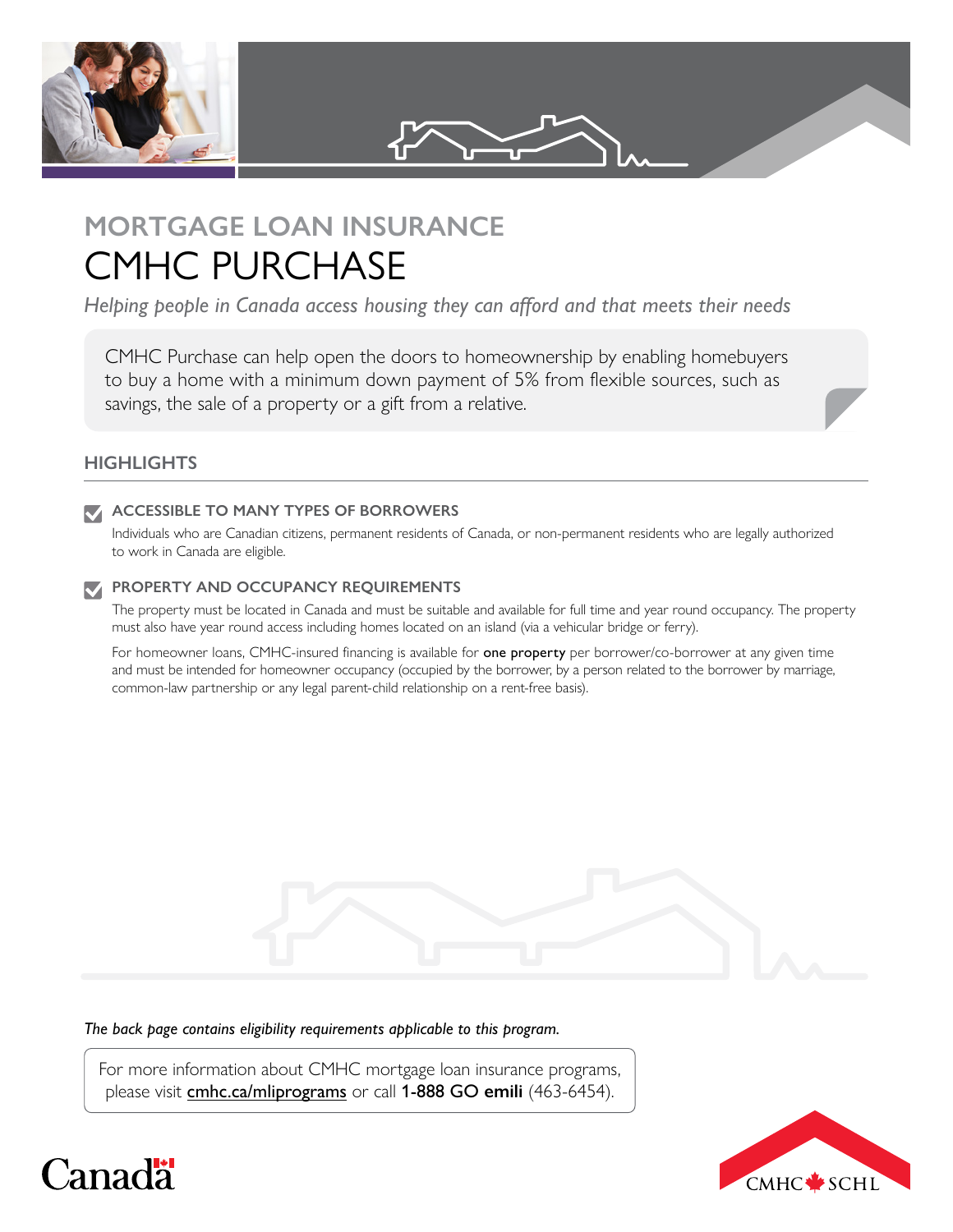

# **MORTGAGE LOAN INSURANCE**  CMHC PURCHASE

*Helping people in Canada access housing they can afford and that meets their needs*

CMHC Purchase can help open the doors to homeownership by enabling homebuyers to buy a home with a minimum down payment of 5% from flexible sources, such as savings, the sale of a property or a gift from a relative.

## **HIGHLIGHTS**

### **ACCESSIBLE TO MANY TYPES OF BORROWERS**

Individuals who are Canadian citizens, permanent residents of Canada, or non-permanent residents who are legally authorized to work in Canada are eligible.

### **PROPERTY AND OCCUPANCY REQUIREMENTS**

The property must be located in Canada and must be suitable and available for full time and year round occupancy. The property must also have year round access including homes located on an island (via a vehicular bridge or ferry).

For homeowner loans, CMHC-insured financing is available for one property per borrower/co-borrower at any given time and must be intended for homeowner occupancy (occupied by the borrower, by a person related to the borrower by marriage, common-law partnership or any legal parent-child relationship on a rent-free basis).

*The back page contains eligibility requirements applicable to this program.*

For more information about CMHC mortgage loan insurance programs, please visit [cmhc.ca/mliprograms](https://www.cmhc-schl.gc.ca/en/finance-and-investing/mortgage-loan-insurance/mortgage-loan-insurance-homeownership-programs/mortgage-loan-insurance-quick-reference-guide) or call 1-888 GO **emili** (463-6454).